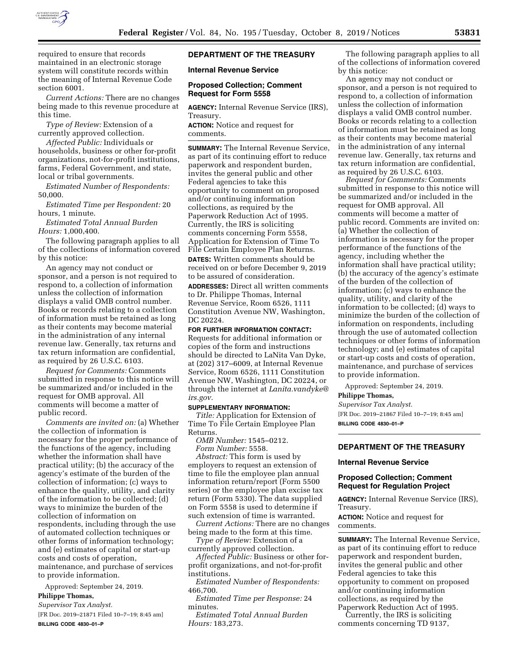

required to ensure that records maintained in an electronic storage system will constitute records within the meaning of Internal Revenue Code section 6001.

*Current Actions:* There are no changes being made to this revenue procedure at this time.

*Type of Review:* Extension of a currently approved collection.

*Affected Public:* Individuals or households, business or other for-profit organizations, not-for-profit institutions, farms, Federal Government, and state, local or tribal governments.

*Estimated Number of Respondents:*  50,000.

*Estimated Time per Respondent:* 20 hours, 1 minute.

*Estimated Total Annual Burden Hours:* 1,000,400.

The following paragraph applies to all of the collections of information covered by this notice:

An agency may not conduct or sponsor, and a person is not required to respond to, a collection of information unless the collection of information displays a valid OMB control number. Books or records relating to a collection of information must be retained as long as their contents may become material in the administration of any internal revenue law. Generally, tax returns and tax return information are confidential, as required by 26 U.S.C. 6103.

*Request for Comments:* Comments submitted in response to this notice will be summarized and/or included in the request for OMB approval. All comments will become a matter of public record.

*Comments are invited on:* (a) Whether the collection of information is necessary for the proper performance of the functions of the agency, including whether the information shall have practical utility; (b) the accuracy of the agency's estimate of the burden of the collection of information; (c) ways to enhance the quality, utility, and clarity of the information to be collected; (d) ways to minimize the burden of the collection of information on respondents, including through the use of automated collection techniques or other forms of information technology; and (e) estimates of capital or start-up costs and costs of operation, maintenance, and purchase of services to provide information.

Approved: September 24, 2019. **Philippe Thomas,** 

*Supervisor Tax Analyst.* 

[FR Doc. 2019–21871 Filed 10–7–19; 8:45 am] **BILLING CODE 4830–01–P** 

# **DEPARTMENT OF THE TREASURY**

**Internal Revenue Service** 

### **Proposed Collection; Comment Request for Form 5558**

**AGENCY:** Internal Revenue Service (IRS), Treasury.

**ACTION:** Notice and request for comments.

**SUMMARY:** The Internal Revenue Service, as part of its continuing effort to reduce paperwork and respondent burden, invites the general public and other Federal agencies to take this opportunity to comment on proposed and/or continuing information collections, as required by the Paperwork Reduction Act of 1995. Currently, the IRS is soliciting comments concerning Form 5558, Application for Extension of Time To File Certain Employee Plan Returns.

**DATES:** Written comments should be received on or before December 9, 2019 to be assured of consideration.

**ADDRESSES:** Direct all written comments to Dr. Philippe Thomas, Internal Revenue Service, Room 6526, 1111 Constitution Avenue NW, Washington, DC 20224.

**FOR FURTHER INFORMATION CONTACT:**  Requests for additional information or copies of the form and instructions should be directed to LaNita Van Dyke, at (202) 317–6009, at Internal Revenue Service, Room 6526, 1111 Constitution Avenue NW, Washington, DC 20224, or through the internet at *[Lanita.vandyke@](mailto:Lanita.vandyke@irs.gov) [irs.gov.](mailto:Lanita.vandyke@irs.gov)* 

#### **SUPPLEMENTARY INFORMATION:**

*Title:* Application for Extension of Time To File Certain Employee Plan Returns.

*OMB Number:* 1545–0212.

*Form Number:* 5558.

*Abstract:* This form is used by employers to request an extension of time to file the employee plan annual information return/report (Form 5500 series) or the employee plan excise tax return (Form 5330). The data supplied on Form 5558 is used to determine if such extension of time is warranted.

*Current Actions:* There are no changes being made to the form at this time.

*Type of Review:* Extension of a currently approved collection.

*Affected Public:* Business or other forprofit organizations, and not-for-profit institutions.

*Estimated Number of Respondents:*  466,700.

*Estimated Time per Response:* 24 minutes.

*Estimated Total Annual Burden Hours:* 183,273.

The following paragraph applies to all of the collections of information covered by this notice:

An agency may not conduct or sponsor, and a person is not required to respond to, a collection of information unless the collection of information displays a valid OMB control number. Books or records relating to a collection of information must be retained as long as their contents may become material in the administration of any internal revenue law. Generally, tax returns and tax return information are confidential, as required by 26 U.S.C. 6103.

*Request for Comments:* Comments submitted in response to this notice will be summarized and/or included in the request for OMB approval. All comments will become a matter of public record. Comments are invited on: (a) Whether the collection of information is necessary for the proper performance of the functions of the agency, including whether the information shall have practical utility; (b) the accuracy of the agency's estimate of the burden of the collection of information; (c) ways to enhance the quality, utility, and clarity of the information to be collected; (d) ways to minimize the burden of the collection of information on respondents, including through the use of automated collection techniques or other forms of information technology; and (e) estimates of capital or start-up costs and costs of operation, maintenance, and purchase of services to provide information.

Approved: September 24, 2019.

## **Philippe Thomas,**

*Supervisor Tax Analyst.*  [FR Doc. 2019–21867 Filed 10–7–19; 8:45 am] **BILLING CODE 4830–01–P** 

**DEPARTMENT OF THE TREASURY** 

#### **Internal Revenue Service**

## **Proposed Collection; Comment Request for Regulation Project**

**AGENCY:** Internal Revenue Service (IRS), Treasury.

comments.

**SUMMARY:** The Internal Revenue Service, as part of its continuing effort to reduce paperwork and respondent burden, invites the general public and other Federal agencies to take this opportunity to comment on proposed and/or continuing information collections, as required by the Paperwork Reduction Act of 1995.

Currently, the IRS is soliciting comments concerning TD 9137,

**ACTION:** Notice and request for